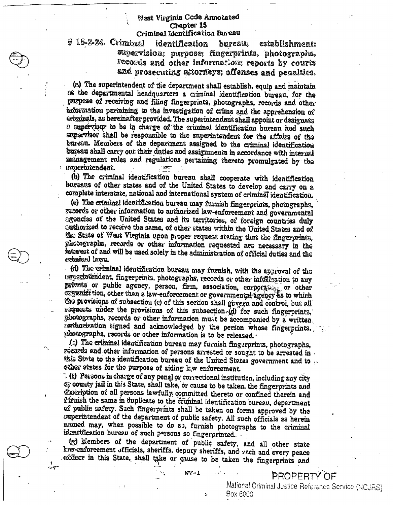#### West Virginia Code Annotated Chapter 15 Criminal Identification Bureau

§ 15-2-24. Criminal identification establishment: bureau: supervision; purpose; fingerprints, photographs, records and other information; reports by courts and prosecuting attorneys; offenses and penalties.

(a) The superintendent of the department shall establish, equip and maintain os the departmental headquarters a criminal identification bureau, for the purpose of receiving and filing fingerprints, photographs, records and other information pertaining to the investigation of crime and the apprehension of eriminals, as hereinafter provided. The superintendent shall appoint or designate a supervisor to be in charge of the criminal identification bureau and such supervisor shall be responsible to the superintendent for the affairs of the bureau. Members of the department assigned to the eximinal identification buyeau shall carry out their duties and assignments in accordance with internal management rules and regulations pertaining thereto promulgated by the superintendent.

(b) The criminal identification bureau shall cooperate with identification bureaus of other states and of the United States to develop and carry on a complete interstate, national and international system of criminal identification.

(e) The criminal identification bureau may furnish fingerprints, photographs, records or other information to authorized law-enforcement and governmental agencies of the United States and its territories, of foreign countries duly exchorized to receive the same, of other states within the United States and of the State of West Virginis upon proper request stating that the fingerprints, photographs, records or other information requested are necessary in the interest of and will be used solely in the administration of official duties and the erininal laws.

(d) The criminal identification bureau may furnish, with the approval of the coperintendent, fingerprints, photographs, records or other inforfazion to any private or public agency, person, firm, association, corporation, or other expanizi tion, other than a law-enforcement or governmental agency as to which Cae provisions of subsection (c) of this section shall govern and control, but all requests under the provisions of this subsection.(d) for such fingerprints, photographs, records or other information must be accompanied by a written enchorization signed and acknowledged by the person whose fingerprints, photographs, records or other information is to be released.

(c) The criminal identification bureau may furnish fingerprints, photographs, records and other information of persons arrested or sought to be arrested in this State to the identification bureau of the United States government and to  $\sim$ other states for the purpose of aiding law enforcement.

 $\bar{a}$  (2) Persons in charge of any penal or correctional institution, including any city @ county jail in this State, shall take, or cause to be taken, the fingerprints and description of all persons lawfully committed thereto or confined therein and f traish the same in duplicate to the criminal identification bureau, department of public safety. Such fingerprints shall be taken on forms approved by the ouperintendent of the department of public safety. All such officials as herein mand may, when possible to do so, furnish photographs to the criminal identification bureau of such persons so fingerprinted.

(x) Members of the department of public safety, and all other state Exer-enforcement officials, sheriffs, deputy sheriffs, and exch and every peace officer in this State, shall take or cause to be taken the fingerprints and

> PROPERTY OF National Criminal Justice Reference Service (NCJRS) Box 6000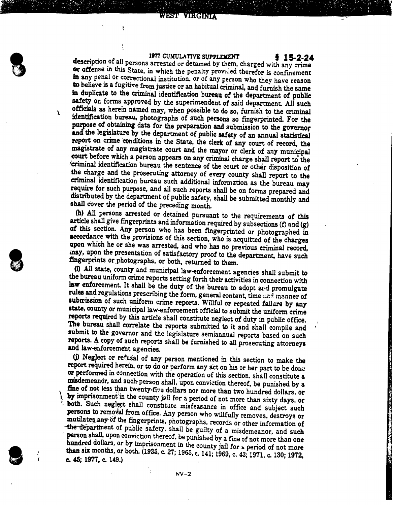#### **EXAMPLE SUPPLEMENT 45 15-2-24**

description of all persons arrested or detained by them, charged with any crime or offense in this State, in which the penalty provided therefor is confinement in any penal or correctional institution, or of any person who they have reason to believe is a fugitive from justice or an habitual criminal, and furnish the same in duplicate to the criminal identification bureau of the department of public safety on forms approved by the superintendent of said department. All such officials as herein named may, when possible to do so, furnish to the criminal identification bureau, photographs of such persons so fingerprinted. For the purpose of obtaining data for the preparation and submission to the governor and the legislature by the department of public safety of an annual statistical report on crime conditions in the State, the clerk of any court of record, the magistrate of any magistrate court and the mayor or clerk of any municipal court before which a person appears on any criminal charge shall report to the eriminal identification bureau the sentence of the court or other disposition of the charge and the prosecuting attorney of every county shall report to the criminal identification bureau such additional information as the bureau may require for such purpose, and all such reports shall be on forms prepared and distn'buted by the department of public safety, shall be submitted monthly and shall cover the period of the preceding month.

(h) All persons arrested or detained pursuant to the requirements of this article shall give fingerprints and information required by subsections  $(f)$  and  $(g)$ of this section. Any person who has been fingerprinted or photographed in accordance with the provisions of this section, who is acquitted of the charges upon which he or she was arrested, and who has no previous criminal record, may, upon the presentation of satisfactory proof to the department, have such fingerprints or photographs, or both, returned to them.

(i) All state, county and municipal law-enforcement agencies shall submit to the bureau uniform crime reports setting forth their activities in connection with law enforcement. It shall be the duty of the bureau to adopt and promulgate rules and regulations prescribing the form, general content, time ax. manner of submission of such uniform crime reports. Willful or repeated failure by any ate, county or municipal law-enforcement official to submit the uniform crime reports required by this article shall constitute neglect of duty in public office. The bureau shall correlate the reports submitted to it and shall compile and submit to the governor and the legislature semiannual reports based on such reports. A copy of such reports shall be furnished to all prosecuting attorneys and law-enforcement agencies.

Neglect or refusal of any person mentioned in this section to make the report required herein, or to do or perform any act on his or her part to be done or performed in connection with the operation of this section, shall constitute a misdemeanor, and such person shall, upon conviction thereof, be punished by a fine of not less than twenty-five dollars nor more than two hundred dollars, or by imprisonment in the county jail for a period of not more than sixty days, or both. Such neglect shall constitute misfeasance in office and subject such persons to removal from office. Any person who willfully removes, destroys or mutilates any of the fingerprints, photographs, records or other information of the department of public safety, shall be guilty of a misdemeanor, and such person shall, upon conviction thereof, be punished by a fine of not more than one hundred dollars, or by imprisonment in the county jail for a period of not more than six months, or both. (1935, c. 27; 1965, c. 141; 1969, c. 43; 1971, c. 130; 1972, c. 45; 1977, c. 149.)

 $W - 2$ 

**\$** 

 $\mathbf{A}$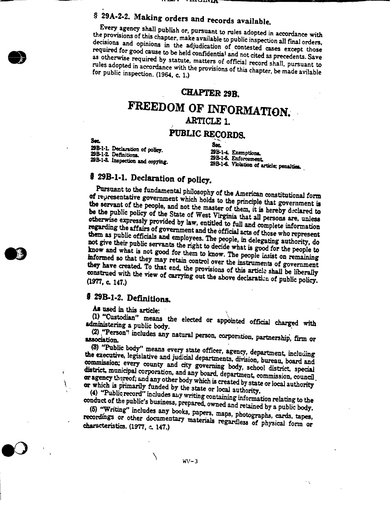## **w 29A-2.2.** Making orders and records available.

Every agency shall publish or, pursuant to rules adopted in accordance with the provisions of this chapter, make available to public inspection all final orders, decisions and opinions in the adjudication of contested cases except those required for good cause to be held confidentia! and not cited as precedents. Save as otherwise required by statute, matters of official record shall, pursuant to rules adopted in accordance with the provisions of this chapter, be made avilable for public inspection. (1964, c. 1.)

#### CHAPTER 29B.

### **FREEDOM OF INFORMATION. ARTICLE 1.**

### **PUBLIC RECORDS.**

Sec.

**Q** 

~B-1-L ~ of poiky. ~B-I-4. Exempt~onL  $\overline{\text{29B-1-2}}$ . Definitions.

San.

÷.

### **w 29B-1.1. Declaration of policy.**

Pursuant to the fundamental philosophy of the American constitutional form of representative government which holds to the principle that government is the servant of the people, and not the master of them, it is hereby declared to be the public policy of the State of West Virginia that all persons are, unless otherwise expressly provided by law, entitled to full and complete information regarding the affairs of government and the official acts of those who represent them as public officials and employees. The people, in delegating authority, do not give their public servants the right to decide what is good for the people to know and what is not good for them to know. The people insist on remaining informed so that they may retain control over the instruments of government they have created. To that end, the provisions of this article shall be liberally construed with the view of carrying out the above declaration of public policy. **(1977. c. 147.)** 

#### **w 2913.1.2. Defin/tions.**

As used in this article:

(1) "Custodian" means the elected or appointed official charged with administering a public body.

(2) "Person" includes any natural person, corporation, partnership, firm or association.

(3) "Public body" means every state officer, agency, department, including the executive, legislative and judicial departments, division, bureau, board and commission; every county and city governing body, school district, special district, municipal corporation, and any board, department, commission, council or agency thereof; and any other body which is created by state or local authority or which is primarily funded by the state or local authority.

(4) "Public record" includes any writing containing information relating to the conduct of the public's business, prepared, owned and retained by a public body. (5) '~Writing" includes any books, papers, maps, photographs, cards, tapes, recordings or other documentary materials regardless of physical form or charscteristics. (1977, c. 147.)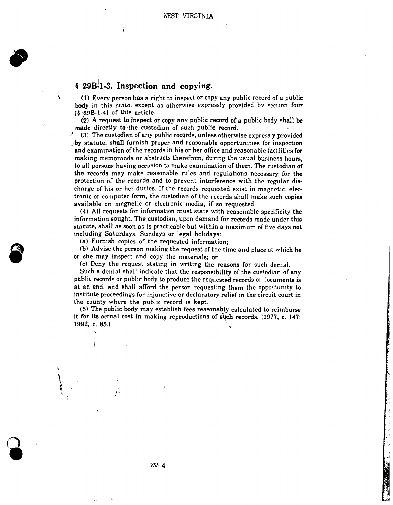### **w 29B~1-3. Inspection and copying.**

**O** 

Ŷ

Ï

(1) Every person has a right to inspect or copy any public record of a public body in this state, except as otherwise expressly provided by section four  $[8,29B-1-4]$  of this article.

 $(2)$  A request to inspect or copy any public record of a public body shall be , made directly to the custodian of such public record.

(3) The custodian of any public records, unless otherwise expressly provided /by statute, shall furnish proper and reasonable opportunities for inspection and examination of the records in his or her office and reasonable facilities for making memoranda or abstracts therefrom, during the usual business hours, to all persons having occasion to make examination of them. The custodian of the records may make reasonable rules and regulations necessary for the protection of the records and to prevent interference with the regular discharge of his or her duties. If the records requested exist in magnetic, elec. tronic or computer form, the custodian of the records shall make such copies available on magnetic or electronic media, if so requested.

(4) All requests for information must state with reasonable specificity the information sought. The custodian, upon demand for records made under this statute, shall as soon as is practicable but within a maximum of five days **not**  including Saturdays, Sundays or legal holidays:

(a) Furnish copies of the requested information;

i J

%

%

(b) Advise the person making the request of the time and place at which he or she may inspect and copy the materials; or

(c) Deny the request stating in writing the reasons for such denial.

Such a denial shall indicate that the responsibility of the custodian of any public records or public body to produce the requested records or documents is at an end, and shall afford the person requesting them the opportunity to institute proceedings for injunctive or declaratory relief in the circuit court in the county where the public record is kept.

(5) The public body may establish fees reasonably calculated to reimburse it for its actual cost in making reproductions of such records.  $(1977, c. 147)$ ; 1992, c. 85.) 4

**SANDRO COMPANY**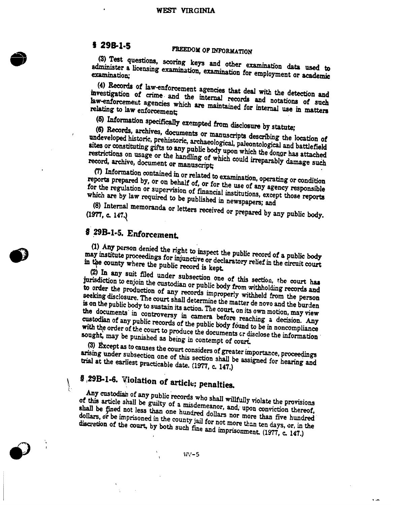#### ' WEST VIRGINIA

**EXECTS PREEDOM OF INFORMATION**<br>
(3) Test questions, scoring keys and other examination data used to administer a licensing examination, examination for employment or academic

(4) Records of law-enforcement agencies that deal with the detection and investigation of crime and the internal records and notations of such law-enforcement agencies which are maintained for internal use in matters

(6) Information specifically exempted from disclosure by statute;

(6) Records, archives, documents or manuscripts describing the location of undeveloped historic, prehistoric, archaeological, paleontological and battlefield sites or constituting gifts to any public body upon which the donor has attached result curves on usage or the handling of which could irreparably demanded record, archive, document or manuscript;

(7) Information contained in or related to examination, operating or condition reports prepared by, or on behalf of, or for the use of any agency responsible for the regulation or supervision of financial institutions, except those reports which are by law required to be published in newspapers; and

ermicrital memoranda or letters received or prepared by any public body.<br>**PT7**, c. 147.)

### $9$  29B-1-5. Enforcement.

(1) Any person denied the right to inspect the public record of a public body may institute proceedings for injuncting  $\mathbb{R}^n$ . The public record of a public body in the county where the public record is kept.

(2) In any suit filed under subsection one of this section, the court has jurisdiction to enjoin the custodian or public body from withholding records and to order the production of any records improperly withheld from the person seeking disclosure. The court shall determine the matter de novo and the burden is on the public body to sustain its action. The court, on its own motion, may view the documents'in controversy in camera before reaching a decision. Any custodian of any public records of the public body found to be in noncompliance with the order of the court to produce the documents or disclose the information sought, may be punished as being in contempt of court.

(3) Except as to causes the court considers of greater importance, proceedings arising under subsection one of this section shall be assigned for hearing and trial at the earliest Practicable date. (1977, c. 147.)

# $8, 29B-1-6.$  Wiolation of article; penalties.

Any custodian of any public records who shall willfully violate the provisions of this article shall be guilty of a misdemeanor, and, upon conviction thereof, shall be fined not less than one hundred dollars nor more than five hundred dollars, or be imprisoned in the county jail for not more than ten days, or, in the discretion of the court, by both such fine and imprisonment. (1977, c. 147.)